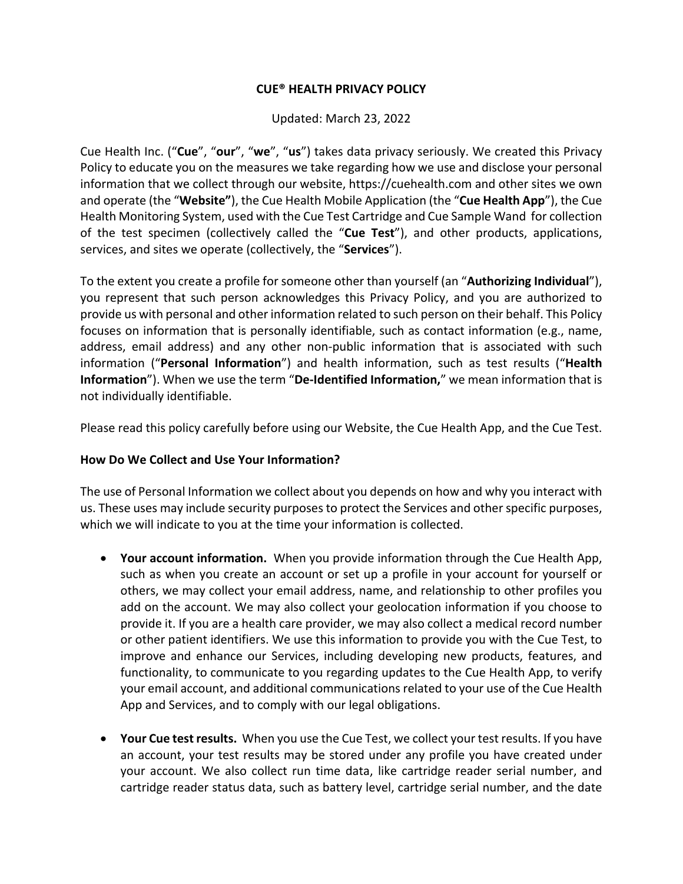### **CUE® HEALTH PRIVACY POLICY**

Updated: March 23, 2022

Cue Health Inc. ("**Cue**", "**our**", "**we**", "**us**") takes data privacy seriously. We created this Privacy Policy to educate you on the measures we take regarding how we use and disclose your personal information that we collect through our website, https://cuehealth.com and other sites we own and operate (the "**Website"**), the Cue Health Mobile Application (the "**Cue Health App**"), the Cue Health Monitoring System, used with the Cue Test Cartridge and Cue Sample Wand for collection of the test specimen (collectively called the "**Cue Test**"), and other products, applications, services, and sites we operate (collectively, the "**Services**").

To the extent you create a profile for someone other than yourself (an "**Authorizing Individual**"), you represent that such person acknowledges this Privacy Policy, and you are authorized to provide us with personal and other information related to such person on their behalf. This Policy focuses on information that is personally identifiable, such as contact information (e.g., name, address, email address) and any other non-public information that is associated with such information ("**Personal Information**") and health information, such as test results ("**Health Information**"). When we use the term "**De-Identified Information,**" we mean information that is not individually identifiable.

Please read this policy carefully before using our Website, the Cue Health App, and the Cue Test.

#### **How Do We Collect and Use Your Information?**

The use of Personal Information we collect about you depends on how and why you interact with us. These uses may include security purposes to protect the Services and other specific purposes, which we will indicate to you at the time your information is collected.

- **Your account information.** When you provide information through the Cue Health App, such as when you create an account or set up a profile in your account for yourself or others, we may collect your email address, name, and relationship to other profiles you add on the account. We may also collect your geolocation information if you choose to provide it. If you are a health care provider, we may also collect a medical record number or other patient identifiers. We use this information to provide you with the Cue Test, to improve and enhance our Services, including developing new products, features, and functionality, to communicate to you regarding updates to the Cue Health App, to verify your email account, and additional communications related to your use of the Cue Health App and Services, and to comply with our legal obligations.
- **Your Cue test results.** When you use the Cue Test, we collect your test results. If you have an account, your test results may be stored under any profile you have created under your account. We also collect run time data, like cartridge reader serial number, and cartridge reader status data, such as battery level, cartridge serial number, and the date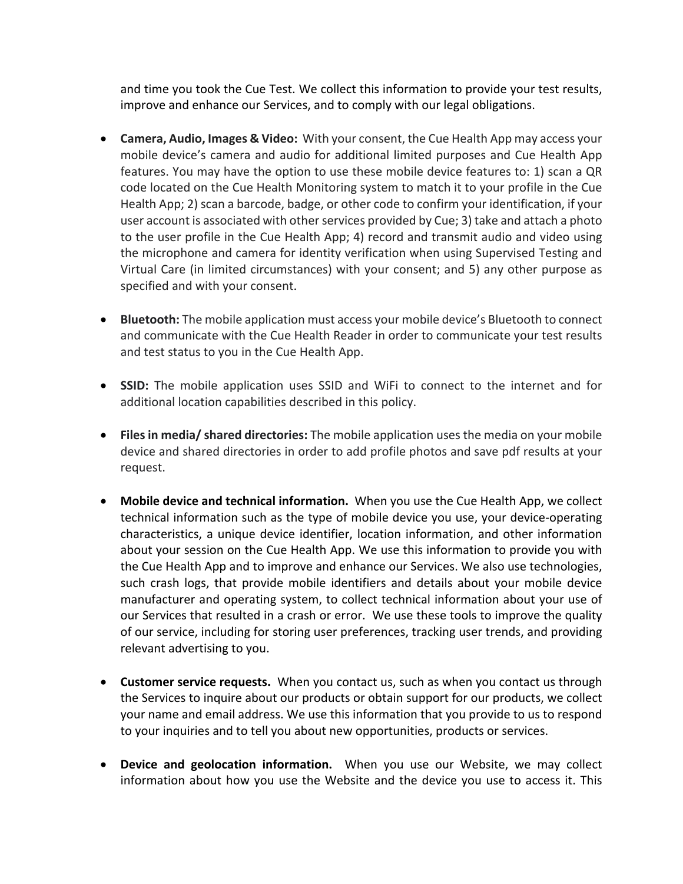and time you took the Cue Test. We collect this information to provide your test results, improve and enhance our Services, and to comply with our legal obligations.

- **Camera, Audio, Images & Video:** With your consent, the Cue Health App may access your mobile device's camera and audio for additional limited purposes and Cue Health App features. You may have the option to use these mobile device features to: 1) scan a QR code located on the Cue Health Monitoring system to match it to your profile in the Cue Health App; 2) scan a barcode, badge, or other code to confirm your identification, if your user account is associated with other services provided by Cue; 3) take and attach a photo to the user profile in the Cue Health App; 4) record and transmit audio and video using the microphone and camera for identity verification when using Supervised Testing and Virtual Care (in limited circumstances) with your consent; and 5) any other purpose as specified and with your consent.
- **Bluetooth:** The mobile application must access your mobile device's Bluetooth to connect and communicate with the Cue Health Reader in order to communicate your test results and test status to you in the Cue Health App.
- **SSID:** The mobile application uses SSID and WiFi to connect to the internet and for additional location capabilities described in this policy.
- **Files in media/ shared directories:** The mobile application uses the media on your mobile device and shared directories in order to add profile photos and save pdf results at your request.
- **Mobile device and technical information.** When you use the Cue Health App, we collect technical information such as the type of mobile device you use, your device-operating characteristics, a unique device identifier, location information, and other information about your session on the Cue Health App. We use this information to provide you with the Cue Health App and to improve and enhance our Services. We also use technologies, such crash logs, that provide mobile identifiers and details about your mobile device manufacturer and operating system, to collect technical information about your use of our Services that resulted in a crash or error. We use these tools to improve the quality of our service, including for storing user preferences, tracking user trends, and providing relevant advertising to you.
- **Customer service requests.** When you contact us, such as when you contact us through the Services to inquire about our products or obtain support for our products, we collect your name and email address. We use this information that you provide to us to respond to your inquiries and to tell you about new opportunities, products or services.
- **Device and geolocation information.** When you use our Website, we may collect information about how you use the Website and the device you use to access it. This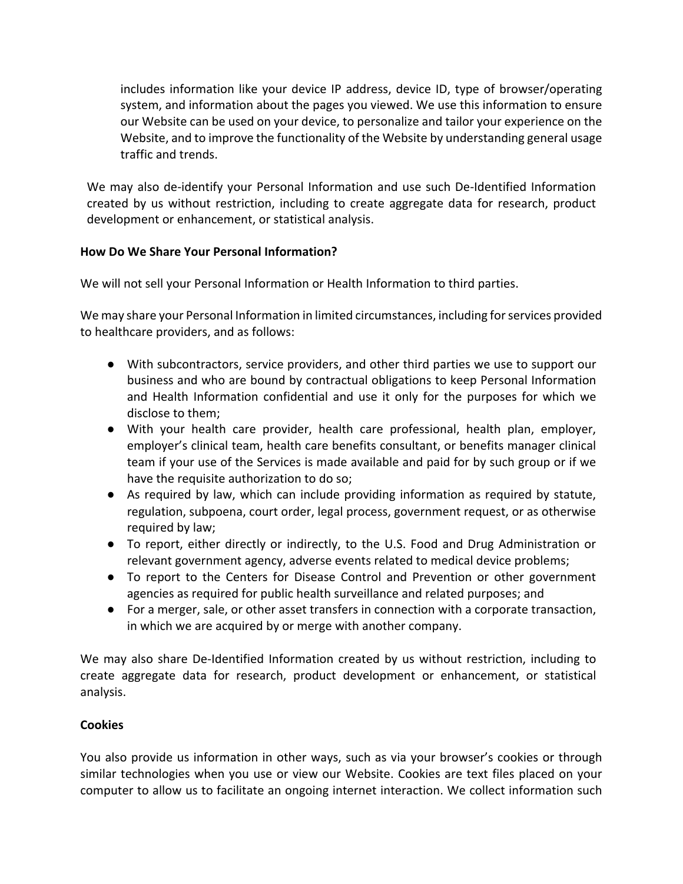includes information like your device IP address, device ID, type of browser/operating system, and information about the pages you viewed. We use this information to ensure our Website can be used on your device, to personalize and tailor your experience on the Website, and to improve the functionality of the Website by understanding general usage traffic and trends.

We may also de-identify your Personal Information and use such De-Identified Information created by us without restriction, including to create aggregate data for research, product development or enhancement, or statistical analysis.

# **How Do We Share Your Personal Information?**

We will not sell your Personal Information or Health Information to third parties.

We may share your Personal Information in limited circumstances, including for services provided to healthcare providers, and as follows:

- With subcontractors, service providers, and other third parties we use to support our business and who are bound by contractual obligations to keep Personal Information and Health Information confidential and use it only for the purposes for which we disclose to them;
- With your health care provider, health care professional, health plan, employer, employer's clinical team, health care benefits consultant, or benefits manager clinical team if your use of the Services is made available and paid for by such group or if we have the requisite authorization to do so;
- As required by law, which can include providing information as required by statute, regulation, subpoena, court order, legal process, government request, or as otherwise required by law;
- To report, either directly or indirectly, to the U.S. Food and Drug Administration or relevant government agency, adverse events related to medical device problems;
- To report to the Centers for Disease Control and Prevention or other government agencies as required for public health surveillance and related purposes; and
- For a merger, sale, or other asset transfers in connection with a corporate transaction, in which we are acquired by or merge with another company.

We may also share De-Identified Information created by us without restriction, including to create aggregate data for research, product development or enhancement, or statistical analysis.

## **Cookies**

You also provide us information in other ways, such as via your browser's cookies or through similar technologies when you use or view our Website. Cookies are text files placed on your computer to allow us to facilitate an ongoing internet interaction. We collect information such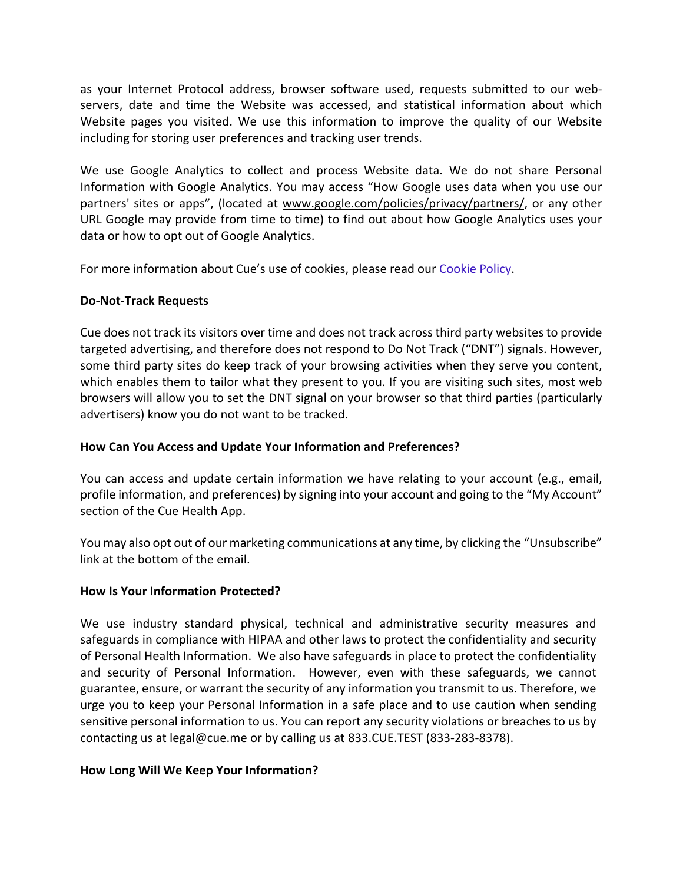as your Internet Protocol address, browser software used, requests submitted to our webservers, date and time the Website was accessed, and statistical information about which Website pages you visited. We use this information to improve the quality of our Website including for storing user preferences and tracking user trends.

We use Google Analytics to collect and process Website data. We do not share Personal Information with Google Analytics. You may access "How Google uses data when you use our partners' sites or apps", (located at www.google.com/policies/privacy/partners/, or any other URL Google may provide from time to time) to find out about how Google Analytics uses your data or how to opt out of Google Analytics.

For more information about Cue's use of cookies, please read our Cookie Policy.

## **Do-Not-Track Requests**

Cue does not track its visitors over time and does not track across third party websites to provide targeted advertising, and therefore does not respond to Do Not Track ("DNT") signals. However, some third party sites do keep track of your browsing activities when they serve you content, which enables them to tailor what they present to you. If you are visiting such sites, most web browsers will allow you to set the DNT signal on your browser so that third parties (particularly advertisers) know you do not want to be tracked.

### **How Can You Access and Update Your Information and Preferences?**

You can access and update certain information we have relating to your account (e.g., email, profile information, and preferences) by signing into your account and going to the "My Account" section of the Cue Health App.

You may also opt out of our marketing communications at any time, by clicking the "Unsubscribe" link at the bottom of the email.

#### **How Is Your Information Protected?**

We use industry standard physical, technical and administrative security measures and safeguards in compliance with HIPAA and other laws to protect the confidentiality and security of Personal Health Information. We also have safeguards in place to protect the confidentiality and security of Personal Information. However, even with these safeguards, we cannot guarantee, ensure, or warrant the security of any information you transmit to us. Therefore, we urge you to keep your Personal Information in a safe place and to use caution when sending sensitive personal information to us. You can report any security violations or breaches to us by contacting us at legal@cue.me or by calling us at 833.CUE.TEST (833-283-8378).

## **How Long Will We Keep Your Information?**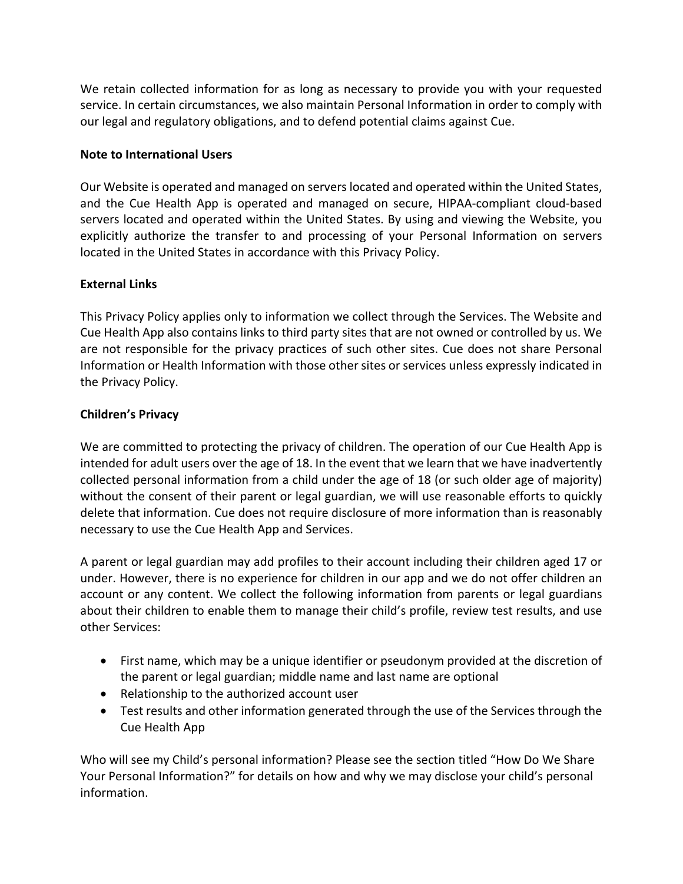We retain collected information for as long as necessary to provide you with your requested service. In certain circumstances, we also maintain Personal Information in order to comply with our legal and regulatory obligations, and to defend potential claims against Cue.

### **Note to International Users**

Our Website is operated and managed on servers located and operated within the United States, and the Cue Health App is operated and managed on secure, HIPAA-compliant cloud-based servers located and operated within the United States. By using and viewing the Website, you explicitly authorize the transfer to and processing of your Personal Information on servers located in the United States in accordance with this Privacy Policy.

### **External Links**

This Privacy Policy applies only to information we collect through the Services. The Website and Cue Health App also contains links to third party sites that are not owned or controlled by us. We are not responsible for the privacy practices of such other sites. Cue does not share Personal Information or Health Information with those other sites or services unless expressly indicated in the Privacy Policy.

### **Children's Privacy**

We are committed to protecting the privacy of children. The operation of our Cue Health App is intended for adult users over the age of 18. In the event that we learn that we have inadvertently collected personal information from a child under the age of 18 (or such older age of majority) without the consent of their parent or legal guardian, we will use reasonable efforts to quickly delete that information. Cue does not require disclosure of more information than is reasonably necessary to use the Cue Health App and Services.

A parent or legal guardian may add profiles to their account including their children aged 17 or under. However, there is no experience for children in our app and we do not offer children an account or any content. We collect the following information from parents or legal guardians about their children to enable them to manage their child's profile, review test results, and use other Services:

- First name, which may be a unique identifier or pseudonym provided at the discretion of the parent or legal guardian; middle name and last name are optional
- Relationship to the authorized account user
- Test results and other information generated through the use of the Services through the Cue Health App

Who will see my Child's personal information? Please see the section titled "How Do We Share Your Personal Information?" for details on how and why we may disclose your child's personal information.